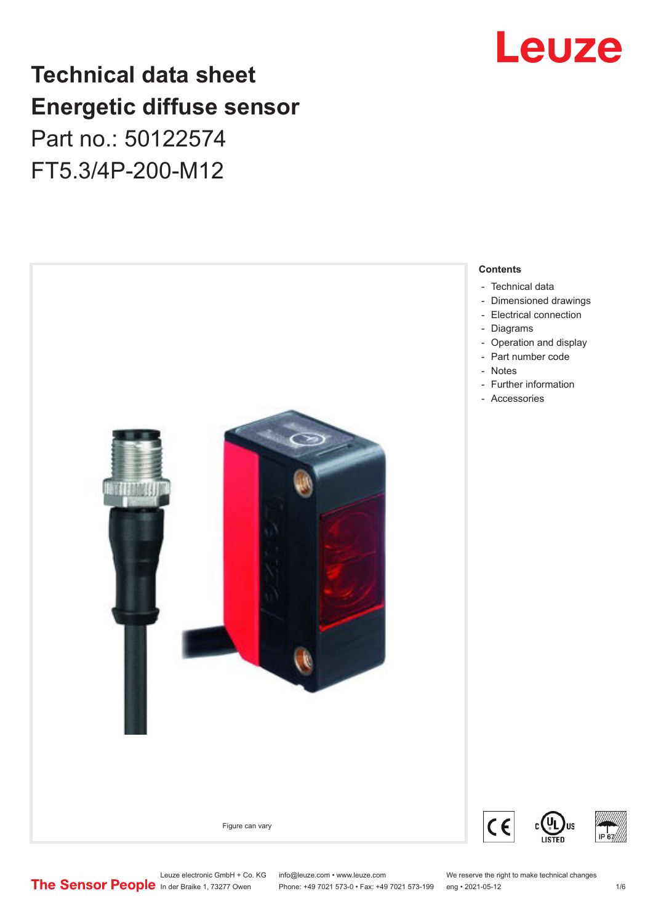## Leuze

## **Technical data sheet Energetic diffuse sensor**

Part no.: 50122574 FT5.3/4P-200-M12



Leuze electronic GmbH + Co. KG info@leuze.com • www.leuze.com We reserve the right to make technical changes<br> **The Sensor People** in der Braike 1, 73277 Owen Phone: +49 7021 573-0 • Fax: +49 7021 573-199 eng • 2021-05-12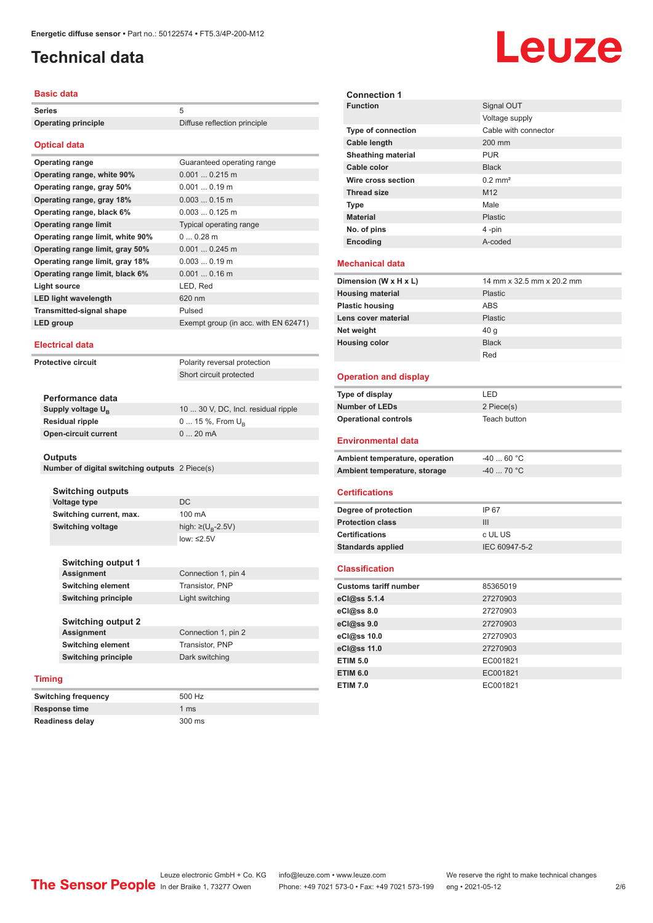## <span id="page-1-0"></span>**Technical data**

#### **Basic data**

| Series                     |                              |
|----------------------------|------------------------------|
| <b>Operating principle</b> | Diffuse reflection principle |

#### **Optical data**

| Optival uata                     |                                      |
|----------------------------------|--------------------------------------|
| <b>Operating range</b>           | Guaranteed operating range           |
| Operating range, white 90%       | $0.0010.215$ m                       |
| Operating range, gray 50%        | $0.0010.19$ m                        |
| Operating range, gray 18%        | $0.0030.15$ m                        |
| Operating range, black 6%        | $0.0030.125$ m                       |
| <b>Operating range limit</b>     | Typical operating range              |
| Operating range limit, white 90% | $00.28$ m                            |
| Operating range limit, gray 50%  | $0.0010.245$ m                       |
| Operating range limit, gray 18%  | $0.0030.19$ m                        |
| Operating range limit, black 6%  | $0.0010.16$ m                        |
| Light source                     | LED, Red                             |
| <b>LED light wavelength</b>      | 620 nm                               |
| <b>Transmitted-signal shape</b>  | Pulsed                               |
| LED group                        | Exempt group (in acc. with EN 62471) |
|                                  |                                      |

#### **Electrical data**

**Protective circuit** Polarity reversal protection

Short circuit protected

| Performance data              |                                     |
|-------------------------------|-------------------------------------|
| Supply voltage U <sub>P</sub> | 10  30 V, DC, Incl. residual ripple |
| Residual ripple               | $0$ 15 %, From $U_{p}$              |
| Open-circuit current          | $020$ mA                            |
|                               |                                     |

#### **Outputs**

| Number of digital switching outputs 2 Piece(s) |  |  |  |  |
|------------------------------------------------|--|--|--|--|
|------------------------------------------------|--|--|--|--|

**Switching outputs Voltage type** DC **Switching current, max.** 100 mA **Switching voltage** 

high:  $\geq$ (U<sub>p</sub>-2.5V) low: ≤2.5V

| <b>Switching output 1</b> |                     |
|---------------------------|---------------------|
| <b>Assignment</b>         | Connection 1, pin 4 |
| <b>Switching element</b>  | Transistor, PNP     |
| Switching principle       | Light switching     |

**Switching frequency** 500 Hz

**Readiness delay** 300 ms

**Switching output 2 Assignment** Connection 1, pin 2 **Switching element** Transistor, PNP **Switching principle** Dark switching

#### **Timing**

| <b>Switching frequency</b> | 500 <sub>1</sub> |
|----------------------------|------------------|
| <b>Response time</b>       | 1 ms             |
| <b>Readiness delay</b>     | 300 <sub>1</sub> |

**Connection 1 Signal OUT** Voltage supply **Type of connection Cable length** 200 mm **Sheathing material** PUR **Cable color** Black **Wire cross section** 0.2 mm<sup>2</sup> **Thread size** M12 **Type Male Material** Plastic **No. of pins** 4 -pin **Encoding** A-coded **Mechanical data Dimension (W x H x L)** 14 mm x 32.5 mm x 20.2 mm **Housing material** Plastic **Plastic housing** ABS **Lens cover material** Plastic **Net weight** 40 g **Housing color** Black Red **Operation and display Type of display** LED **Number of LEDs** 2 Piece(s) **Operational controls** Teach button **Environmental data** Ambient temperature, operation  $-40...60$  °C **Ambient temperature, storage**  $-40$  ... 70 °C **Certifications Degree of protection** IP 67 **Protection class** III **Certifications** c UL US **Standards applied** IEC 60947-5-2 **Classification Customs tariff number** 85365019 **eCl@ss 5.1.4** 27270903 **eCl@ss 8.0** 27270903 **eCl@ss 9.0** 27270903 **eCl@ss 10.0** 27270903 **eCl@ss 11.0** 27270903 **ETIM 5.0** EC001821 **ETIM 6.0** EC001821 **ETIM 7.0** EC001821

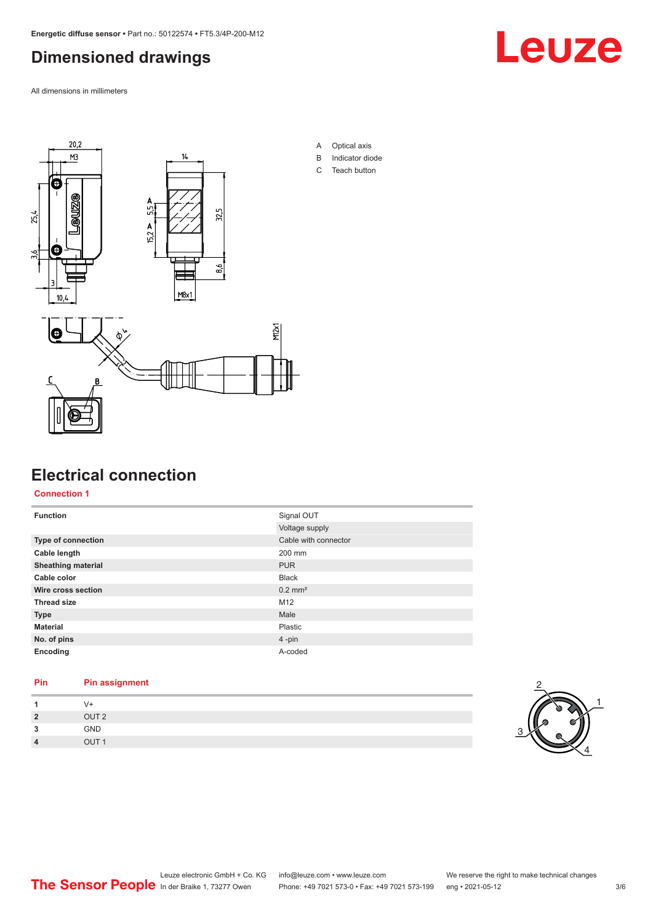### <span id="page-2-0"></span>**Dimensioned drawings**

All dimensions in millimeters





- A Optical axis
- B Indicator diode
- C Teach button

#### **Electrical connection**

**Connection 1**

| <b>Function</b>           | Signal OUT            |
|---------------------------|-----------------------|
|                           | Voltage supply        |
| <b>Type of connection</b> | Cable with connector  |
| Cable length              | 200 mm                |
| <b>Sheathing material</b> | <b>PUR</b>            |
| Cable color               | <b>Black</b>          |
| Wire cross section        | $0.2$ mm <sup>2</sup> |
| <b>Thread size</b>        | M12                   |
| <b>Type</b>               | Male                  |
| <b>Material</b>           | <b>Plastic</b>        |
| No. of pins               | $4 - pin$             |
| Encoding                  | A-coded               |

#### **Pin Pin assignment**

|                | V+               |
|----------------|------------------|
| $\overline{2}$ | OUT <sub>2</sub> |
| 3              | <b>GND</b>       |
| $\overline{4}$ | OUT <sub>1</sub> |

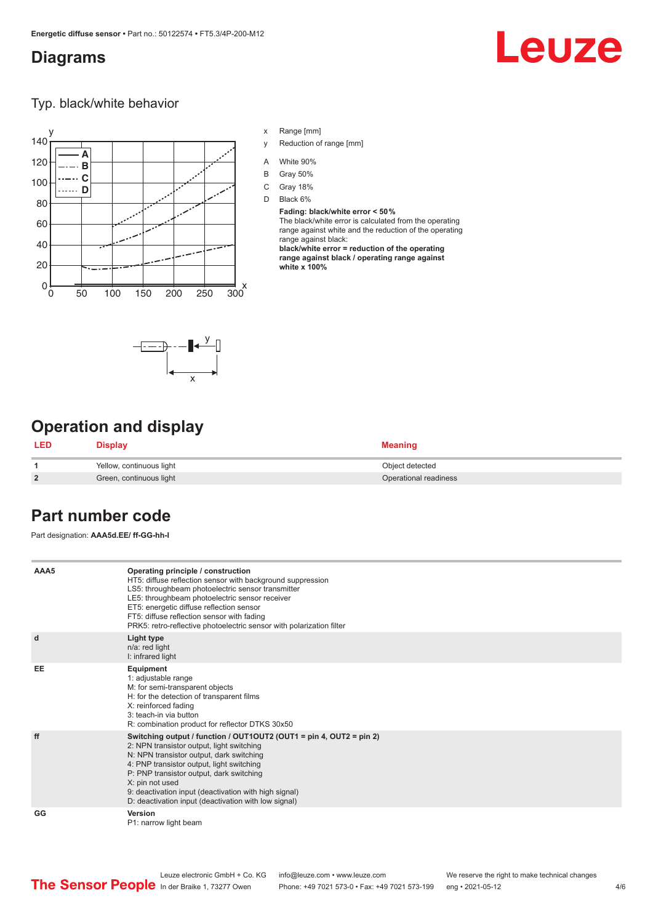#### <span id="page-3-0"></span>**Diagrams**

# Leuze

#### Typ. black/white behavior



- x Range [mm]
- y Reduction of range [mm]
- A White 90%
- B Gray 50%
- C Gray 18%
- D Black 6%

**Fading: black/white error < 50 %** The black/white error is calculated from the operating range against white and the reduction of the operating range against black: **black/white error = reduction of the operating range against black / operating range against white x 100%**



### **Operation and display**

| LED            | Display                  | <b>Meaning</b>        |
|----------------|--------------------------|-----------------------|
|                | Yellow, continuous light | Object detected       |
| $\overline{2}$ | Green, continuous light  | Operational readiness |

#### **Part number code**

Part designation: **AAA5d.EE/ ff-GG-hh-I**

| AAA5 | Operating principle / construction<br>HT5: diffuse reflection sensor with background suppression<br>LS5: throughbeam photoelectric sensor transmitter<br>LE5: throughbeam photoelectric sensor receiver<br>ET5: energetic diffuse reflection sensor                                                                                                                                       |
|------|-------------------------------------------------------------------------------------------------------------------------------------------------------------------------------------------------------------------------------------------------------------------------------------------------------------------------------------------------------------------------------------------|
|      | FT5: diffuse reflection sensor with fading<br>PRK5: retro-reflective photoelectric sensor with polarization filter                                                                                                                                                                                                                                                                        |
| d    | Light type<br>n/a: red light<br>I: infrared light                                                                                                                                                                                                                                                                                                                                         |
| EE   | Equipment<br>1: adjustable range<br>M: for semi-transparent objects<br>H: for the detection of transparent films<br>X: reinforced fading<br>3: teach-in via button<br>R: combination product for reflector DTKS 30x50                                                                                                                                                                     |
| ff   | Switching output / function / OUT1OUT2 (OUT1 = pin 4, OUT2 = pin 2)<br>2: NPN transistor output, light switching<br>N: NPN transistor output, dark switching<br>4: PNP transistor output, light switching<br>P: PNP transistor output, dark switching<br>X: pin not used<br>9: deactivation input (deactivation with high signal)<br>D: deactivation input (deactivation with low signal) |
| GG   | Version<br>P1: narrow light beam                                                                                                                                                                                                                                                                                                                                                          |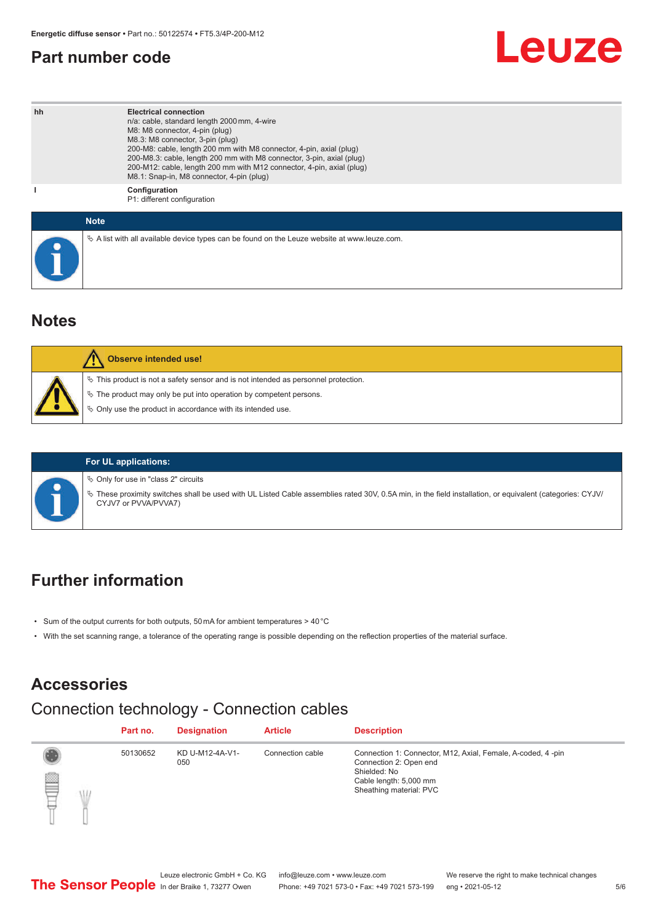#### <span id="page-4-0"></span>**Part number code**

# Leuze

| hh | <b>Electrical connection</b><br>n/a: cable, standard length 2000 mm, 4-wire<br>M8: M8 connector, 4-pin (plug)<br>M8.3: M8 connector, 3-pin (plug)<br>200-M8: cable, length 200 mm with M8 connector, 4-pin, axial (plug)<br>200-M8.3: cable, length 200 mm with M8 connector, 3-pin, axial (plug)<br>200-M12: cable, length 200 mm with M12 connector, 4-pin, axial (plug)<br>M8.1: Snap-in, M8 connector, 4-pin (plug) |
|----|-------------------------------------------------------------------------------------------------------------------------------------------------------------------------------------------------------------------------------------------------------------------------------------------------------------------------------------------------------------------------------------------------------------------------|
|    | Configuration<br>P1: different configuration                                                                                                                                                                                                                                                                                                                                                                            |
|    | <b>Note</b>                                                                                                                                                                                                                                                                                                                                                                                                             |
|    | $\&$ A list with all available device types can be found on the Leuze website at www.leuze.com.                                                                                                                                                                                                                                                                                                                         |

#### **Notes**

| <b>Observe intended use!</b>                                                                                                                                                                                                     |
|----------------------------------------------------------------------------------------------------------------------------------------------------------------------------------------------------------------------------------|
| $\%$ This product is not a safety sensor and is not intended as personnel protection.<br>$\%$ The product may only be put into operation by competent persons.<br>$\%$ Only use the product in accordance with its intended use. |

#### **For UL applications:**

 $\%$  Only for use in "class 2" circuits

ª These proximity switches shall be used with UL Listed Cable assemblies rated 30V, 0.5A min, in the field installation, or equivalent (categories: CYJV/ CYJV7 or PVVA/PVVA7)

#### **Further information**

- Sum of the output currents for both outputs, 50 mA for ambient temperatures > 40 °C
- With the set scanning range, a tolerance of the operating range is possible depending on the reflection properties of the material surface.

## **Accessories**

## Connection technology - Connection cables

|          | Part no. | <b>Designation</b>     | <b>Article</b>   | <b>Description</b>                                                                                                                                         |
|----------|----------|------------------------|------------------|------------------------------------------------------------------------------------------------------------------------------------------------------------|
| §<br>Чh. | 50130652 | KD U-M12-4A-V1-<br>050 | Connection cable | Connection 1: Connector, M12, Axial, Female, A-coded, 4-pin<br>Connection 2: Open end<br>Shielded: No<br>Cable length: 5,000 mm<br>Sheathing material: PVC |